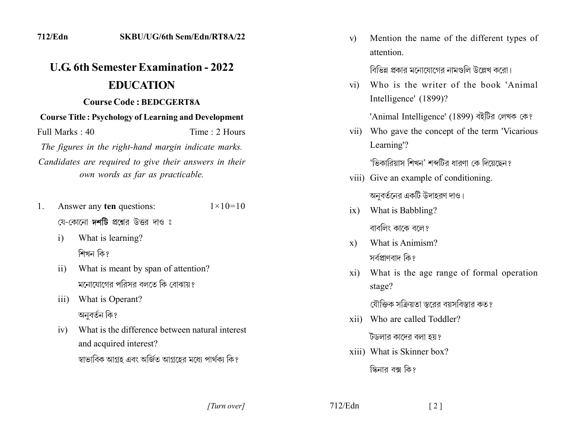| 712/Edn                                                     |                                                                                            | SKBU/UG/6th Sem/Edn/RT8A/22 |
|-------------------------------------------------------------|--------------------------------------------------------------------------------------------|-----------------------------|
|                                                             | <b>U.G. 6th Semester Examination - 2022</b>                                                |                             |
|                                                             | <b>EDUCATION</b>                                                                           |                             |
|                                                             | <b>Course Code : BEDCGERT8A</b>                                                            |                             |
| <b>Course Title: Psychology of Learning and Development</b> |                                                                                            |                             |
| Full Marks: 40                                              |                                                                                            | Time: 2 Hours               |
| The figures in the right-hand margin indicate marks.        |                                                                                            |                             |
|                                                             | Candidates are required to give their answers in their<br>own words as far as practicable. |                             |
| 1.                                                          | Answer any ten questions:<br>যে-কোনো <b>দশটি</b> প্রশ্নের উত্তর দাও ঃ                      | $1 \times 10 = 10$          |

- What is learning?  $\mathbf{i}$ শিখন কি?
- What is meant by span of attention?  $\overline{11}$ মনোযোগের পরিসর বলতে কি বোঝায়?
- iii) What is Operant? অনুবৰ্তন কি?
- What is the difference between natural interest  $iv)$ and acquired interest? স্বাভাবিক আগ্রহ এবং অর্জিত আগ্রহের মধ্যে পার্থক্য কি?

Mention the name of the different types of  $V$ ) attention.

বিভিন্ন প্রকার মনোযোগের নামগুলি উল্লেখ করো।

Who is the writer of the book 'Animal  $\overline{vi}$ Intelligence' (1899)?

'Animal Intelligence' (1899) বইটির লেখক কে?

vii) Who gave the concept of the term 'Vicarious Learning'?

'ভিকারিয়াস শিখন' শব্দটির ধারণা কে দিয়েছেন?

- viii) Give an example of conditioning. অনুবর্তনের একটি উদাহরণ দাও।
- ix) What is Babbling? বাবলিং কাকে বলে?
- What is Animism?  $\mathbf{x}$ ) সর্বপ্রাণবাদ কি?
- What is the age range of formal operation  $xi)$ stage?

যৌক্তিক সক্রিয়তা স্তরের বয়সবিস্তার কত?

xii) Who are called Toddler?

টডলার কাদের বলা হয়?

xiii) What is Skinner box?

স্কিনার বক্স কি?

[Turn over]

 $712/Edn$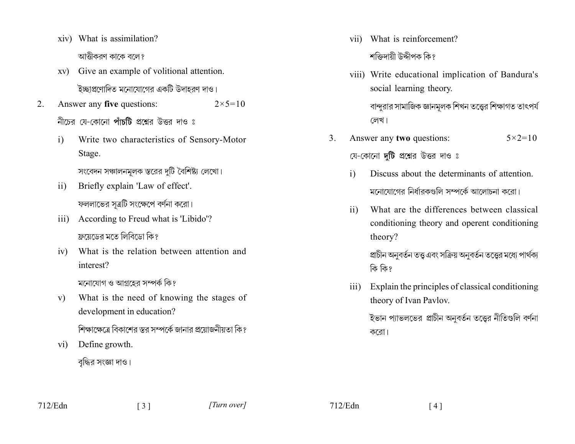- xiv) What is assimilation? আত্তীকরণ কাকে বলে?
- xv) Give an example of volitional attention. ইচ্ছাপ্রণোদিত মনোযোগের একটি উদাহরণ দাও।
- $2<sub>1</sub>$ Answer any five questions:  $2 \times 5 = 10$ নীচের যে-কোনো পাঁচটি প্রশ্নের উত্তর দাও ঃ
	- Write two characteristics of Sensory-Motor  $i)$ Stage.

সংবেদন সঞ্চালনমূলক স্তরের দুটি বৈশিষ্ট্য লেখো।

- Briefly explain 'Law of effect'.  $\overline{11}$ ফললাভের সূত্রটি সংক্ষেপে বর্ণনা করো।
- iii) According to Freud what is 'Libido'? ফ্রয়েডের মতে লিবিডো কি?
- What is the relation between attention and  $iv)$ interest?

মনোযোগ ও আগ্রহের সম্পর্ক কি?

What is the need of knowing the stages of  $V$ ) development in education?

শিক্ষাক্ষেত্রে বিকাশের স্তর সম্পর্কে জানার প্রয়োজনীয়তা কি?

Define growth.  $V1)$ 

vii) What is reinforcement?

শক্তিদায়ী উদ্দীপক কি?

viii) Write educational implication of Bandura's social learning theory.

বান্দুরার সামাজিক জ্ঞানমূলক শিখন তত্ত্বের শিক্ষাগত তাৎপর্য লেখ।

Answer any two questions:  $5 \times 2 = 10$  $3_{-}$ 

যে-কোনো **দটি** প্রশ্নের উত্তর দাও ঃ

- Discuss about the determinants of attention.  $\overline{1}$ মনোযোগের নির্ধারকগুলি সম্পর্কে আলোচনা করো।
- What are the differences between classical  $\rm ii)$ conditioning theory and operent conditioning theory?

প্রাচীন অনুবর্তন তত্ত্ব এবং সক্রিয় অনুবর্তন তত্ত্বের মধ্যে পার্থক্য কি কি?

Explain the principles of classical conditioning  $\overline{111}$ theory of Ivan Pavlov.

> ইভান প্যাভলভের প্রাচীন অনুবর্তন তত্তের নীতিগুলি বর্ণনা করো।

বৃদ্ধির সংজ্ঞা দাও।